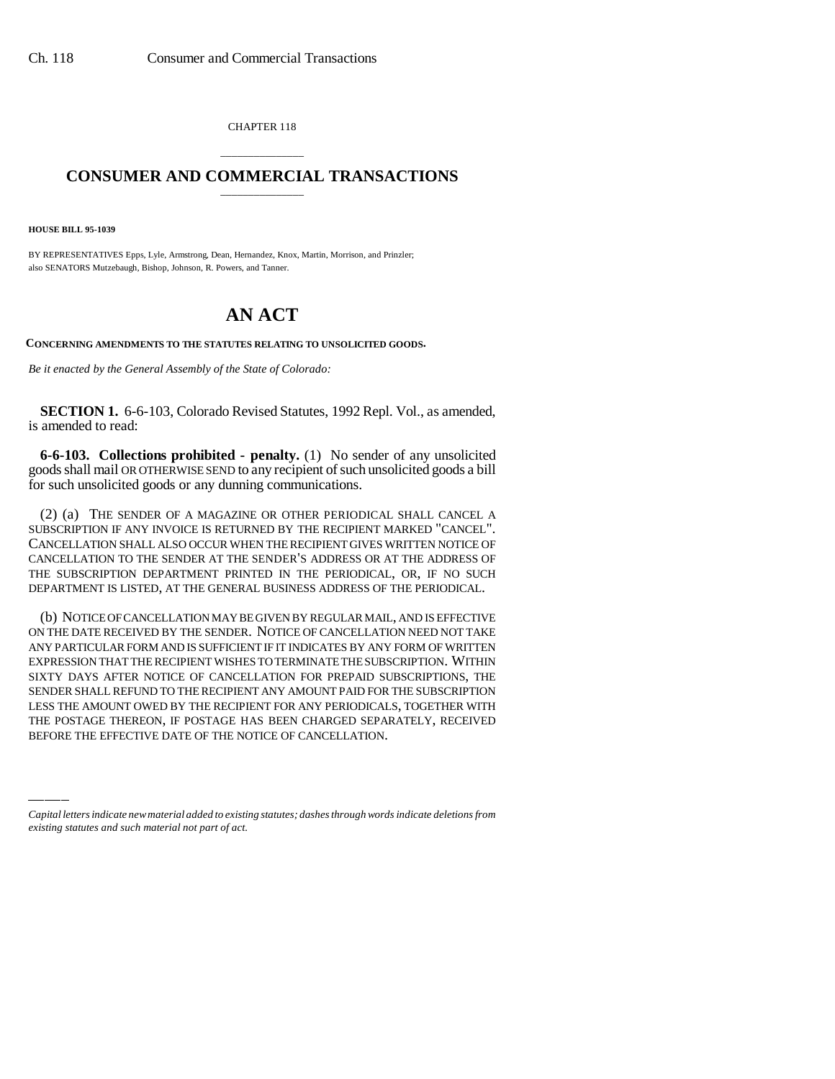CHAPTER 118

## \_\_\_\_\_\_\_\_\_\_\_\_\_\_\_ **CONSUMER AND COMMERCIAL TRANSACTIONS** \_\_\_\_\_\_\_\_\_\_\_\_\_\_\_

**HOUSE BILL 95-1039**

BY REPRESENTATIVES Epps, Lyle, Armstrong, Dean, Hernandez, Knox, Martin, Morrison, and Prinzler; also SENATORS Mutzebaugh, Bishop, Johnson, R. Powers, and Tanner.

## **AN ACT**

**CONCERNING AMENDMENTS TO THE STATUTES RELATING TO UNSOLICITED GOODS.**

*Be it enacted by the General Assembly of the State of Colorado:*

**SECTION 1.** 6-6-103, Colorado Revised Statutes, 1992 Repl. Vol., as amended, is amended to read:

**6-6-103. Collections prohibited - penalty.** (1) No sender of any unsolicited goods shall mail OR OTHERWISE SEND to any recipient of such unsolicited goods a bill for such unsolicited goods or any dunning communications.

(2) (a) THE SENDER OF A MAGAZINE OR OTHER PERIODICAL SHALL CANCEL A SUBSCRIPTION IF ANY INVOICE IS RETURNED BY THE RECIPIENT MARKED "CANCEL". CANCELLATION SHALL ALSO OCCUR WHEN THE RECIPIENT GIVES WRITTEN NOTICE OF CANCELLATION TO THE SENDER AT THE SENDER'S ADDRESS OR AT THE ADDRESS OF THE SUBSCRIPTION DEPARTMENT PRINTED IN THE PERIODICAL, OR, IF NO SUCH DEPARTMENT IS LISTED, AT THE GENERAL BUSINESS ADDRESS OF THE PERIODICAL.

SENDEK SHALL KEFUND TO THE KECIPIENT ANY AMOUNT PAID FOK THE SUBSCRIPTION<br>LESS THE AMOUNT OWED BY THE RECIPIENT FOR ANY PERIODICALS, TOGETHER WITH (b) NOTICE OF CANCELLATION MAY BE GIVEN BY REGULAR MAIL, AND IS EFFECTIVE ON THE DATE RECEIVED BY THE SENDER. NOTICE OF CANCELLATION NEED NOT TAKE ANY PARTICULAR FORM AND IS SUFFICIENT IF IT INDICATES BY ANY FORM OF WRITTEN EXPRESSION THAT THE RECIPIENT WISHES TO TERMINATE THE SUBSCRIPTION. WITHIN SIXTY DAYS AFTER NOTICE OF CANCELLATION FOR PREPAID SUBSCRIPTIONS, THE SENDER SHALL REFUND TO THE RECIPIENT ANY AMOUNT PAID FOR THE SUBSCRIPTION THE POSTAGE THEREON, IF POSTAGE HAS BEEN CHARGED SEPARATELY, RECEIVED BEFORE THE EFFECTIVE DATE OF THE NOTICE OF CANCELLATION.

*Capital letters indicate new material added to existing statutes; dashes through words indicate deletions from existing statutes and such material not part of act.*